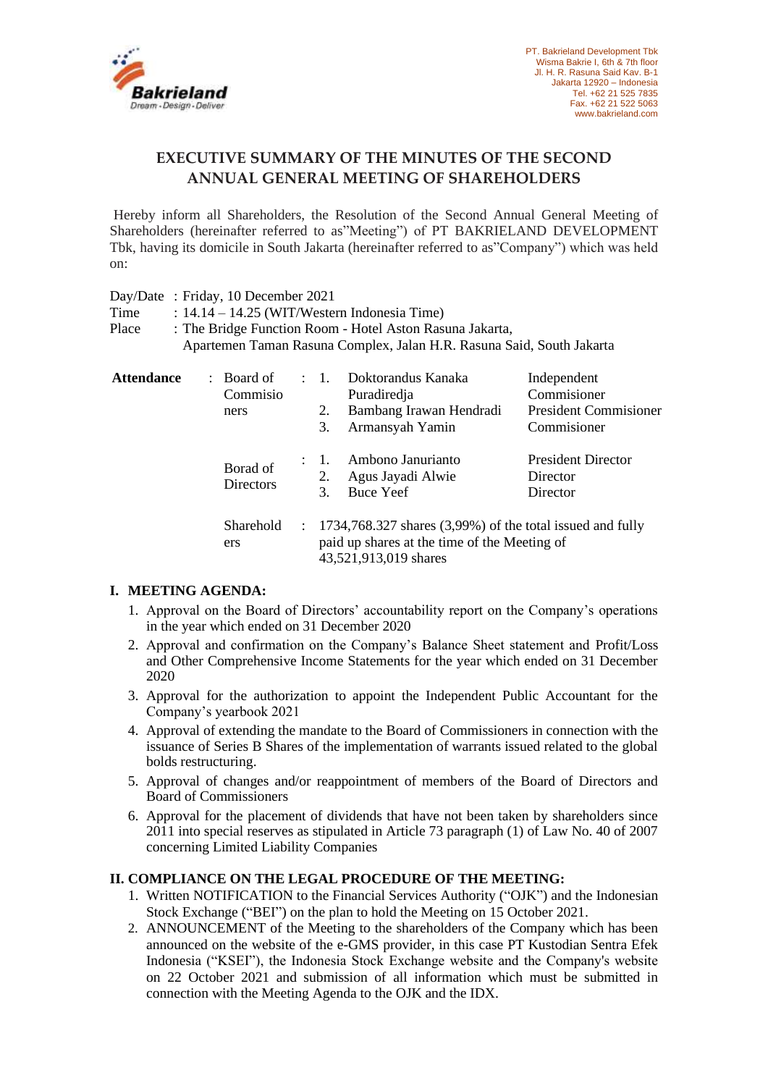

## **EXECUTIVE SUMMARY OF THE MINUTES OF THE SECOND ANNUAL GENERAL MEETING OF SHAREHOLDERS**

Hereby inform all Shareholders, the Resolution of the Second Annual General Meeting of Shareholders (hereinafter referred to as"Meeting") of PT BAKRIELAND DEVELOPMENT Tbk, having its domicile in South Jakarta (hereinafter referred to as"Company") which was held on:

Day/Date : Friday, 10 December 2021

Time  $: 14.14 - 14.25$  (WIT/Western Indonesia Time)

Place : The Bridge Function Room - Hotel Aston Rasuna Jakarta, Apartemen Taman Rasuna Complex, Jalan H.R. Rasuna Said, South Jakarta

| <b>Attendance</b> | : Board of<br>Commisio<br>ners |               | 2.<br>3.                                                                                                                                | Doktorandus Kanaka<br>Puradiredja<br>Bambang Irawan Hendradi<br>Armansyah Yamin | Independent<br>Commisioner<br><b>President Commisioner</b><br>Commisioner |
|-------------------|--------------------------------|---------------|-----------------------------------------------------------------------------------------------------------------------------------------|---------------------------------------------------------------------------------|---------------------------------------------------------------------------|
|                   | Borad of<br><b>Directors</b>   |               | : 1.<br>2.<br>3                                                                                                                         | Ambono Janurianto<br>Agus Jayadi Alwie<br>Buce Yeef                             | <b>President Director</b><br>Director<br>Director                         |
|                   | Sharehold<br>ers               | $\mathcal{L}$ | $1734,768.327$ shares $(3,99\%)$ of the total issued and fully<br>paid up shares at the time of the Meeting of<br>43,521,913,019 shares |                                                                                 |                                                                           |

## **I. MEETING AGENDA:**

- 1. Approval on the Board of Directors' accountability report on the Company's operations in the year which ended on 31 December 2020
- 2. Approval and confirmation on the Company's Balance Sheet statement and Profit/Loss and Other Comprehensive Income Statements for the year which ended on 31 December 2020
- 3. Approval for the authorization to appoint the Independent Public Accountant for the Company's yearbook 2021
- 4. Approval of extending the mandate to the Board of Commissioners in connection with the issuance of Series B Shares of the implementation of warrants issued related to the global bolds restructuring.
- 5. Approval of changes and/or reappointment of members of the Board of Directors and Board of Commissioners
- 6. Approval for the placement of dividends that have not been taken by shareholders since 2011 into special reserves as stipulated in Article 73 paragraph (1) of Law No. 40 of 2007 concerning Limited Liability Companies

## **II. COMPLIANCE ON THE LEGAL PROCEDURE OF THE MEETING:**

- 1. Written NOTIFICATION to the Financial Services Authority ("OJK") and the Indonesian Stock Exchange ("BEI") on the plan to hold the Meeting on 15 October 2021.
- 2. ANNOUNCEMENT of the Meeting to the shareholders of the Company which has been announced on the website of the e-GMS provider, in this case PT Kustodian Sentra Efek Indonesia ("KSEI"), the Indonesia Stock Exchange website and the Company's website on 22 October 2021 and submission of all information which must be submitted in connection with the Meeting Agenda to the OJK and the IDX.